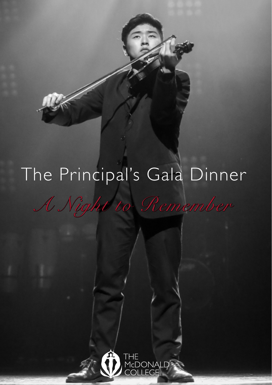# The Principal's Gala Dinner

*A Night to Remember*

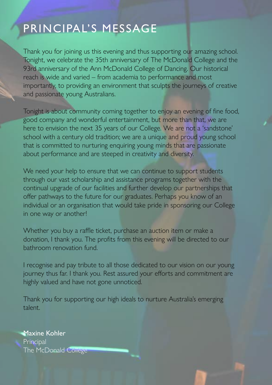### PRINCIPAL'S MESSAGE

Thank you for joining us this evening and thus supporting our amazing school. Tonight, we celebrate the 35th anniversary of The McDonald College and the 93rd anniversary of the Ann McDonald College of Dancing. Our historical reach is wide and varied – from academia to performance and most importantly, to providing an environment that sculpts the journeys of creative and passionate young Australians.

Tonight is about community coming together to enjoy an evening of fine food, good company and wonderful entertainment, but more than that, we are here to envision the next 35 years of our College. We are not a 'sandstone' school with a century old tradition; we are a unique and proud young school that is committed to nurturing enquiring young minds that are passionate about performance and are steeped in creativity and diversity.

We need your help to ensure that we can continue to support students through our vast scholarship and assistance programs together with the continual upgrade of our facilities and further develop our partnerships that offer pathways to the future for our graduates. Perhaps you know of an individual or an organisation that would take pride in sponsoring our College in one way or another!

Whether you buy a raffle ticket, purchase an auction item or make a donation, I thank you. The profits from this evening will be directed to our bathroom renovation fund.

I recognise and pay tribute to all those dedicated to our vision on our young journey thus far. I thank you. Rest assured your efforts and commitment are highly valued and have not gone unnoticed.

Thank you for supporting our high ideals to nurture Australia's emerging talent.

Maxine Kohler **Principal** The McDonald College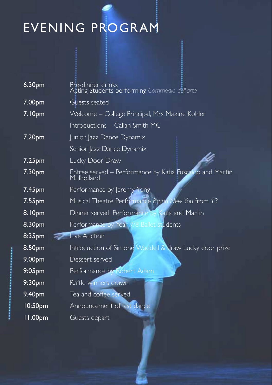## EVENING PROGRAM

| 6.30pm             | Pre-dinner drinks<br>Acting Students performing Commedia dell'arte     |
|--------------------|------------------------------------------------------------------------|
| 7.00 <sub>pm</sub> | Guests seated                                                          |
| 7.10pm             | Welcome – College Principal, Mrs Maxine Kohler                         |
|                    | Introductions - Callan Smith MC                                        |
| 7.20 <sub>pm</sub> | Junior Jazz Dance Dynamix                                              |
|                    | Senior Jazz Dance Dynamix                                              |
| 7.25 <sub>pm</sub> | Lucky Door Draw                                                        |
| 7.30 <sub>pm</sub> | Entree served – Performance by Katia Fuscaldo and Martin<br>Mulholland |
| 7.45pm             | Performance by Jeremy Yong                                             |
| 7.55pm             | Musical Theatre Performance Brand New You from 13                      |
| 8.10 <sub>pm</sub> | Dinner served. Performance by Katia and Martin                         |
| 8.30pm             | Performance by Year 7/8 Ballet students                                |
| 8:35pm             | Live Auction                                                           |
| 8.50pm             | Introduction of Simone Waddell & draw Lucky door prize                 |
| 9.00pm             | Dessert served                                                         |
| 9:05 <sub>pm</sub> | Performance by Robert Adam                                             |
| 9:30 <sub>pm</sub> | Raffle winners drawn                                                   |
| 9.40 <sub>pm</sub> | Tea and coffee served                                                  |
| 10:50pm            | Announcement of last dance                                             |
| 11.00pm            | Guests depart                                                          |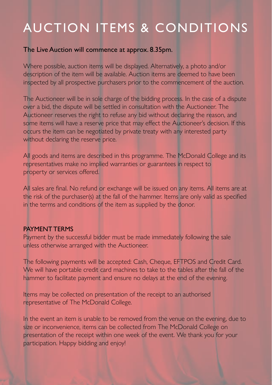### AUCTION ITEMS & CONDITIONS

### The Live Auction will commence at approx. 8.35pm.

Where possible, auction items will be displayed. Alternatively, a photo and/or description of the item will be available. Auction items are deemed to have been inspected by all prospective purchasers prior to the commencement of the auction.

The Auctioneer will be in sole charge of the bidding process. In the case of a dispute over a bid, the dispute will be settled in consultation with the Auctioneer. The Auctioneer reserves the right to refuse any bid without declaring the reason, and some items will have a reserve price that may effect the Auctioneer's decision. If this occurs the item can be negotiated by private treaty with any interested party without declaring the reserve price.

All goods and items are described in this programme. The McDonald College and its representatives make no implied warranties or guarantees in respect to property or services offered.

All sales are final. No refund or exchange will be issued on any items. All items are at the risk of the purchaser(s) at the fall of the hammer. Items are only valid as specified in the terms and conditions of the item as supplied by the donor.

#### PAYMENT TERMS

Payment by the successful bidder must be made immediately following the sale unless otherwise arranged with the Auctioneer.

The following payments will be accepted: Cash, Cheque, EFTPOS and Credit Card. We will have portable credit card machines to take to the tables after the fall of the hammer to facilitate payment and ensure no delays at the end of the evening.

Items may be collected on presentation of the receipt to an authorised representative of The McDonald College.

In the event an item is unable to be removed from the venue on the evening, due to size or inconvenience, items can be collected from The McDonald College on presentation of the receipt within one week of the event. We thank you for your participation. Happy bidding and enjoy!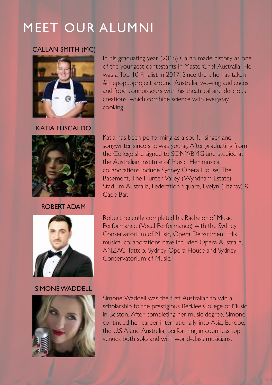### MEET OUR ALUMNI

### CALLAN SMITH (MC)



of the youngest contestants in MasterChef Australia. He was a Top 10 Finalist in 2017. Since then, he has taken #thepopupproject around Australia, wowing audiences and food connoisseurs with his theatrical and delicious creations, which combine science with everyday cooking.

Katia has been performing as a soulful singer and songwriter since she was young. After graduating from the College she signed to SONY/BMG and studied at

the Australian Institute of Music. Her musical collaborations include Sydney Opera House, The Basement, The Hunter Valley (Wyndham Estate), Stadium Australia, Federation Square, Evelyn (Fitzroy) &

Cape Bar.

In his graduating year (2016) Callan made history as one

KATIA FUSCALDO



ROBERT ADAM



Robert recently completed his Bachelor of Music Performance (Vocal Performance) with the Sydney Conservatorium of Music, Opera Department. His musical collaborations have included Opera Australia, ANZAC Tattoo, Sydney Opera House and Sydney Conservatorium of Music.

SIMONE WADDELL



Simone Waddell was the first Australian to win a scholarship to the prestigious Berklee College of Music in Boston. After completing her music degree, Simone continued her career internationally into Asia, Europe, the U.S.A and Australia, performing in countless top venues both solo and with world-class musicians.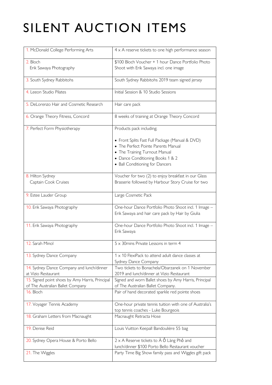## SILENT AUCTION ITEMS

| 1. McDonald College Performing Arts                                                 | $4 \times A$ reserve tickets to one high performance season                                                             |
|-------------------------------------------------------------------------------------|-------------------------------------------------------------------------------------------------------------------------|
| 2. Bloch<br>Erik Sawaya Photography                                                 | \$100 Bloch Voucher + 1 hour Dance Portfolio Photo<br>Shoot with Erik Sawaya incl. one image                            |
| 3. South Sydney Rabbitohs                                                           | South Sydney Rabbitohs 2019 team signed jersey                                                                          |
| 4. Leeon Studio Pilates                                                             | Initial Session & 10 Studio Sessions                                                                                    |
| 5. DeLorenzo Hair and Cosmetic Research                                             | Hair care pack                                                                                                          |
| 6. Orange Theory Fitness, Concord                                                   | 8 weeks of training at Orange Theory Concord                                                                            |
| 7. Perfect Form Physiotherapy                                                       | Products pack including;                                                                                                |
|                                                                                     | • Front Splits Fast Full Package (Manual & DVD)<br>• The Perfect Pointe Parents Manual<br>• The Training Turnout Manual |
|                                                                                     | • Dance Conditioning Books 1 & 2<br>• Ball Conditioning for Dancers                                                     |
| 8. Hilton Sydney<br>Captain Cook Cruises                                            | Voucher for two (2) to enjoy breakfast in our Glass<br>Brasserie followed by Harbour Story Cruise for two               |
| 9. Estee Lauder Group                                                               | Large Cosmetic Pack                                                                                                     |
| 10. Erik Sawaya Photography                                                         | One-hour Dance Portfolio Photo Shoot incl. 1 Image -<br>Erik Sawaya and hair care pack by Hair by Giulia                |
| 11. Erik Sawaya Photography                                                         | One-hour Dance Portfolio Photo Shoot incl. 1 Image -<br>Erik Sawaya                                                     |
| 12. Sarah Minol                                                                     | 5 x 30 mins Private Lessons in term 4                                                                                   |
| 13. Sydney Dance Company                                                            | 1 x 10 FlexiPack to attend adult dance classes at<br>Sydney Dance Company                                               |
| 14. Sydney Dance Company and lunch/dinner<br>at Vizio Restaurant                    | Two tickets to Bonachela/Obarzanek on 1 November<br>2019 and lunch/dinner at Vizio Restaurant                           |
| 15. Signed point shoes by Amy Harris, Principal<br>of The Australian Ballet Company | Signed and worn Ballet shoes by Amy Harris, Principal<br>of The Australian Ballet Company.                              |
| 16. Bloch                                                                           | Pair of hand decorated sparkle red pointe shoes                                                                         |
| 17. Voyager Tennis Academy                                                          | One-hour private tennis tuition with one of Australia's<br>top tennis coaches - Luke Bourgeois                          |
| 18. Graham Letters from Macnaught                                                   | Macnaught Retracta Hose                                                                                                 |
| 19. Denise Reid                                                                     | Louis Vuitton Keepall Bandoulière 55 bag                                                                                |
| 20. Sydney Opera House & Porto Bello                                                | $2 \times A$ Reserve tickets to $\dot{A}$ $\dot{O}$ Làng Phố and<br>lunch/dinner \$100 Porto Bello Restaurant voucher   |
| 21. The Wiggles                                                                     | Party Time Big Show family pass and Wiggles gift pack                                                                   |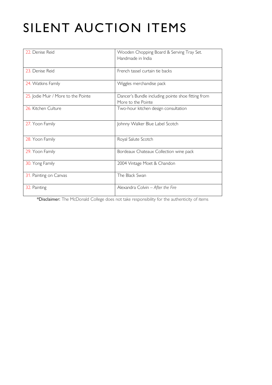### SILENT AUCTION ITEMS

| 22 Denise Reid                      | Wooden Chopping Board & Serving Tray Set.<br>Handmade in India           |
|-------------------------------------|--------------------------------------------------------------------------|
| 23. Denise Reid                     | French tassel curtain tie backs                                          |
| 24. Watkins Family                  | Wiggles merchandise pack                                                 |
| 25. Jodie Muir / More to the Pointe | Dancer's Bundle including pointe shoe fitting from<br>More to the Pointe |
| 26. Kitchen Culture                 | Two-hour kitchen design consultation                                     |
| 27. Yoon Family                     | Johnny Walker Blue Label Scotch                                          |
| 28. Yoon Family                     | Royal Salute Scotch                                                      |
| 29. Yoon Family                     | Bordeaux Chateaux Collection wine pack                                   |
| 30. Yong Family                     | 2004 Vintage Moet & Chandon                                              |
| 31. Painting on Canvas              | The Black Swan                                                           |
| 32. Painting                        | Alexandra Colvin - After the Fire                                        |

\*Disclaimer: The McDonald College does not take responsibility for the authenticity of items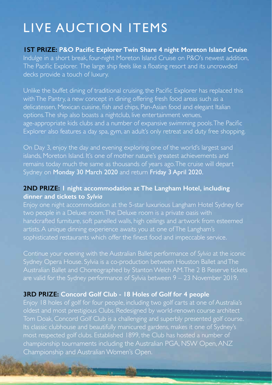### LIVE AUCTION ITEMS

**1ST PRIZE: P&O Pacific Explorer Twin Share 4 night Moreton Island Cruise**  Indulge in a short break, four-night Moreton Island Cruise on P&O's newest addition, The Pacific Explorer. The large ship feels like a floating resort and its uncrowded decks provide a touch of luxury.

Unlike the buffet dining of traditional cruising, the Pacific Explorer has replaced this with The Pantry, a new concept in dining offering fresh food areas such as a delicatessen, Mexican cuisine, fish and chips, Pan-Asian food and elegant Italian options. The ship also boasts a nightclub, live entertainment venues, age-appropriate kids clubs and a number of expansive swimming pools. The Pacific Explorer also features a day spa, gym, an adult's only retreat and duty free shopping.

On Day 3, enjoy the day and evening exploring one of the world's largest sand islands, Moreton Island. It's one of mother nature's greatest achievements and remains today much the same as thousands of years ago. The cruise will depart Sydney on Monday 30 March 2020 and return Friday 3 April 2020.

### **2ND PRIZE: 1 night accommodation at The Langham Hotel, including dinner and tickets to** *Sylvia*

Enjoy one night accommodation at the 5-star luxurious Langham Hotel Sydney for handcrafted furniture, soft panelled walls, high ceilings and artwork from esteemed sophisticated restaurants which offer the finest food and impeccable service.

Sydney Opera House. Sylvia is a co-production between Houston Ballet and The Australian Ballet and Choreographed by Stanton Welch AM. The 2 B Reserve tickets are valid for the Sydney performance of Sylvia between 9 – 23 November 2019.

### **3RD PRIZE: Concord Golf Club - 18 Holes of Golf for 4 people**

oldest and most prestigious Clubs. Redesigned by world-renown course architect Tom Doak, Concord Golf Club is a challenging and superbly presented golf course. championship tournaments including the Australian PGA, NSW Open, ANZ Championship and Australian Women's Open.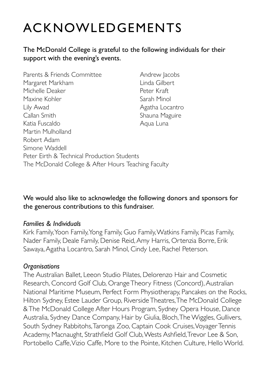### ACKNOWLEDGEMENTS

The McDonald College is grateful to the following individuals for their support with the evening's events.

Parents & Friends Committee Andrew Jacobs Margaret Markham Linda Gilbert Michelle Deaker Peter Kraft Maxine Kohler Sarah Minol Lily Awad **Agatha Locantro** Callan Smith Shauna Maguire Katia Fuscaldo **Aqua Luna** Martin Mulholland Robert Adam Simone Waddell Peter Eirth & Technical Production Students The McDonald College & After Hours Teaching Faculty

We would also like to acknowledge the following donors and sponsors for the generous contributions to this fundraiser.

#### *Families & Individuals*

Kirk Family, Yoon Family, Yong Family, Guo Family, Watkins Family, Picas Family, Nader Family, Deale Family, Denise Reid, Amy Harris, Ortenzia Borre, Erik Sawaya, Agatha Locantro, Sarah Minol, Cindy Lee, Rachel Peterson.

#### *Organisations*

The Australian Ballet, Leeon Studio Pilates, Delorenzo Hair and Cosmetic Research, Concord Golf Club, Orange Theory Fitness (Concord), Australian National Maritime Museum, Perfect Form Physiotherapy, Pancakes on the Rocks, Hilton Sydney, Estee Lauder Group, Riverside Theatres, The McDonald College & The McDonald College After Hours Program, Sydney Opera House, Dance Australia, Sydney Dance Company, Hair by Giulia, Bloch, The Wiggles, Gullivers, South Sydney Rabbitohs, Taronga Zoo, Captain Cook Cruises, Voyager Tennis Academy, Macnaught, Strathfield Golf Club, Wests Ashfield, Trevor Lee & Son, Portobello Caffe, Vizio Caffe, More to the Pointe, Kitchen Culture, Hello World.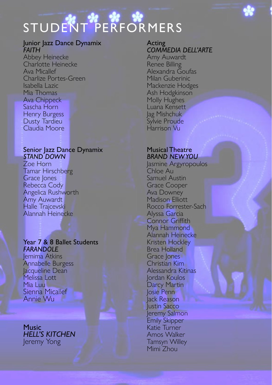# STUDENT PERFORMERS

#### **Junior Jazz Dance Dynamix** *FAITH*

Abbey Heinecke Charlotte Heinecke Ava Micallef Charlize Portes-Green Isabella Lazic Mia Thomas Ava Chippeck Sascha Horn Henry Burgess Dusty Tardieu Claudia Moore

#### Senior Jazz Dance Dynamix *STAND DOWN*

Zoe Horn Tamar Hirschberg Grace Jones Rebecca Cody Angelica Rushworth Amy Auwardt Halle Trajcevski Alannah Heinecke

#### Year 7 & 8 Ballet Students *FARANDOLE*

Jemima Atkins Annabelle Burgess Jacqueline Dean Melissa Lott Mia Luu Sienna Micallef Annie Wu

Music *HELL'S KITCHEN* Jeremy Yong

#### Acting *COMMEDIA DELL'ARTE* Amy Auwardt Renee Billing Alexandra Goufas Milan Guberinic Mackenzie Hodges Ash Hodgkinson Molly Hughes Luana Kensett Jag Mishchuk Sylvie Proude Harrison Vu

### Musical Theatre *BRAND NEW YOU*

Jasmine Argyropoulos Chloe Au Samuel Austin Grace Cooper Ava Downey Madison Elliott Rocco Forrester-Sach Alyssa Garcia Connor Griffith Mya Hammond Alannah Heinecke Kristen Hockley Brea Holland Grace *lones* Christian Kim Alessandra Kitinas Jordan Koulos Darcy Martin Josie Penn Jack Reason Justin Sacco Jeremy Salmon Emily Skipper Katie Turner Amos Walker Tamsyn Willey Mimi<sup>'</sup> Zhou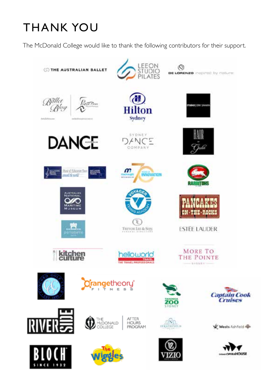### THANK YOU

The McDonald College would like to thank the following contributors for their support.